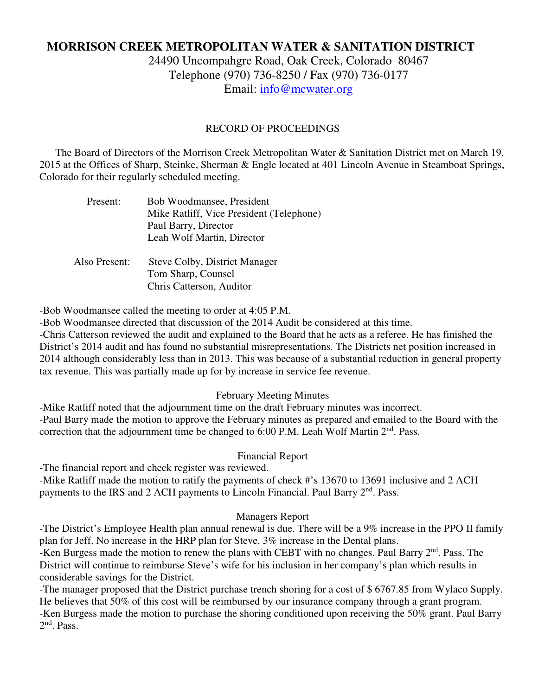# **MORRISON CREEK METROPOLITAN WATER & SANITATION DISTRICT**

24490 Uncompahgre Road, Oak Creek, Colorado 80467 Telephone (970) 736-8250 / Fax (970) 736-0177 Email: info@mcwater.org

### RECORD OF PROCEEDINGS

 The Board of Directors of the Morrison Creek Metropolitan Water & Sanitation District met on March 19, 2015 at the Offices of Sharp, Steinke, Sherman & Engle located at 401 Lincoln Avenue in Steamboat Springs, Colorado for their regularly scheduled meeting.

| Present:      | Bob Woodmansee, President<br>Mike Ratliff, Vice President (Telephone)<br>Paul Barry, Director<br>Leah Wolf Martin, Director |
|---------------|-----------------------------------------------------------------------------------------------------------------------------|
| Also Present: | <b>Steve Colby, District Manager</b><br>Tom Sharp, Counsel<br>Chris Catterson, Auditor                                      |

-Bob Woodmansee called the meeting to order at 4:05 P.M.

-Bob Woodmansee directed that discussion of the 2014 Audit be considered at this time.

-Chris Catterson reviewed the audit and explained to the Board that he acts as a referee. He has finished the District's 2014 audit and has found no substantial misrepresentations. The Districts net position increased in 2014 although considerably less than in 2013. This was because of a substantial reduction in general property tax revenue. This was partially made up for by increase in service fee revenue.

February Meeting Minutes

-Mike Ratliff noted that the adjournment time on the draft February minutes was incorrect. -Paul Barry made the motion to approve the February minutes as prepared and emailed to the Board with the correction that the adjournment time be changed to  $6:00$  P.M. Leah Wolf Martin  $2<sup>nd</sup>$ . Pass.

#### Financial Report

-The financial report and check register was reviewed.

-Mike Ratliff made the motion to ratify the payments of check #'s 13670 to 13691 inclusive and 2 ACH payments to the IRS and 2 ACH payments to Lincoln Financial. Paul Barry 2<sup>nd</sup>. Pass.

#### Managers Report

-The District's Employee Health plan annual renewal is due. There will be a 9% increase in the PPO II family plan for Jeff. No increase in the HRP plan for Steve. 3% increase in the Dental plans.

-Ken Burgess made the motion to renew the plans with CEBT with no changes. Paul Barry 2<sup>nd</sup>. Pass. The District will continue to reimburse Steve's wife for his inclusion in her company's plan which results in considerable savings for the District.

-The manager proposed that the District purchase trench shoring for a cost of \$ 6767.85 from Wylaco Supply. He believes that 50% of this cost will be reimbursed by our insurance company through a grant program. -Ken Burgess made the motion to purchase the shoring conditioned upon receiving the 50% grant. Paul Barry 2<sup>nd</sup>. Pass.